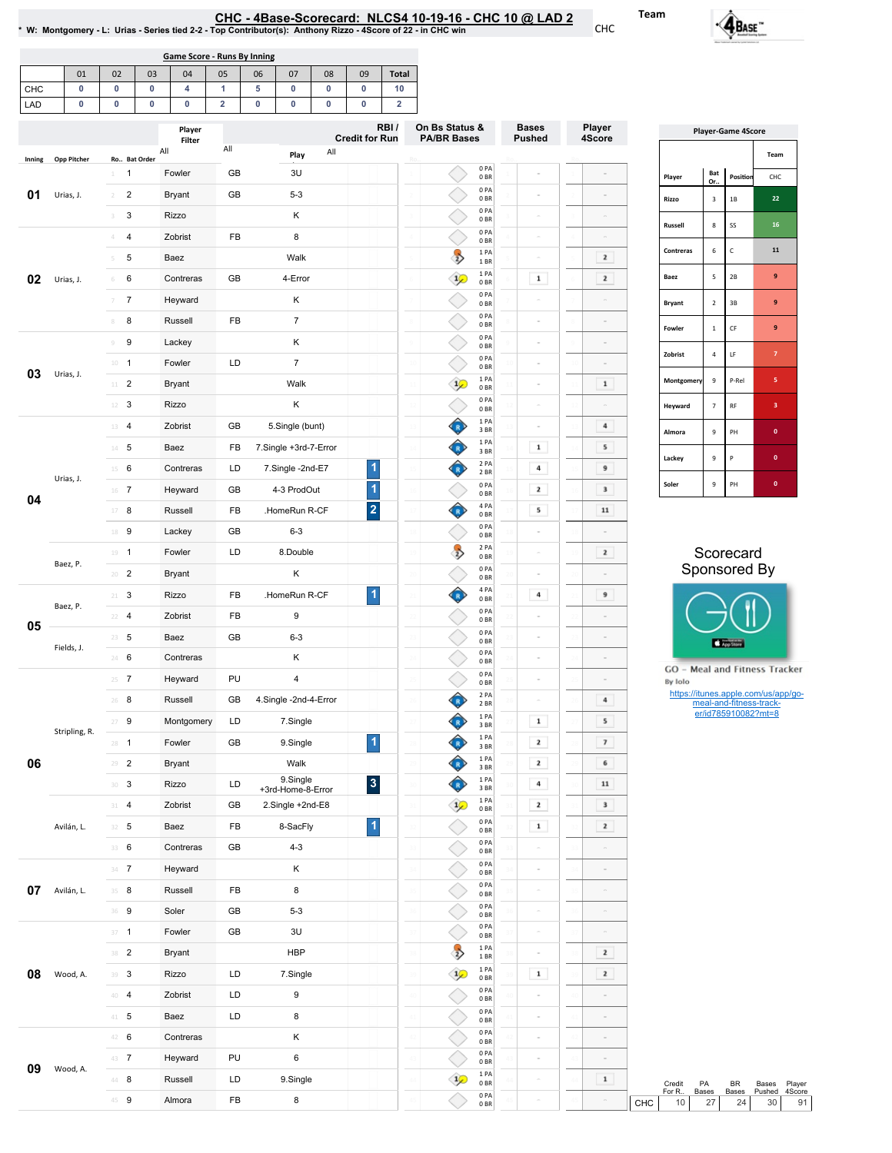## EHC-4Base-Scorecard: NLCS4 10-19-16 - CHC 10 @ LAD 2<br>\* W: Montgomery - L: Urias - Series tied 2-2 - Top Contributor(s): Anthony Rizzo - 4Score of 22 - in CHC win

|     | Game Score - Runs By Inning |    |    |    |    |    |    |    |    |              |  |
|-----|-----------------------------|----|----|----|----|----|----|----|----|--------------|--|
|     | 01                          | 02 | 03 | 04 | 05 | 06 | 07 | 08 | 09 | <b>Total</b> |  |
| CHC |                             |    |    |    |    |    |    |    |    | ιv           |  |
| LAD |                             |    |    |    |    |    |    |    |    |              |  |

|        |                    |                         | Player        |     |                       | RBI/<br><b>Credit for Run</b> | On Bs Status &<br><b>PA/BR Bases</b>                             |                         | <b>Bases</b><br><b>Pushed</b> | Player<br><b>Player-Game 4Score</b><br>4Score |                               |                                  |                                                                              |                                     |
|--------|--------------------|-------------------------|---------------|-----|-----------------------|-------------------------------|------------------------------------------------------------------|-------------------------|-------------------------------|-----------------------------------------------|-------------------------------|----------------------------------|------------------------------------------------------------------------------|-------------------------------------|
|        |                    | Ro Bat Order            | Filter<br>All | All | All<br>Play           |                               |                                                                  |                         |                               |                                               |                               |                                  |                                                                              | Team                                |
| Inning | <b>Opp Pitcher</b> | $1 \quad 1$             | Fowler        | GB  | 3U                    |                               |                                                                  | 0PA<br>0BR              |                               |                                               | Player                        | Bat                              | Position                                                                     | CHC                                 |
| 01     | Urias, J.          | $\overline{2}$<br>$2 -$ | Bryant        | GB  | $5 - 3$               |                               |                                                                  | 0PA<br>0BR              |                               |                                               | Rizzo                         | Or.<br>$\ensuremath{\mathsf{3}}$ | $1\mathrm{B}$                                                                | 22                                  |
|        |                    | $\mathsf 3$<br>3        | Rizzo         |     | Κ                     |                               |                                                                  | 0PA<br>0 <sub>BR</sub>  | i,                            |                                               |                               |                                  |                                                                              |                                     |
|        |                    | $\overline{4}$<br>4     | Zobrist       | FB  | 8                     |                               |                                                                  | 0PA<br>0BR              | $\sim$                        | $\equiv$                                      | Russell                       | 8                                | SS                                                                           | ${\bf 16}$                          |
|        |                    | 5<br>5                  | Baez          |     | Walk                  |                               | $\rightarrow$                                                    | 1PA<br>1 BR             |                               | $\mathbf{z}$                                  | Contreras                     | 6                                | $\mathsf{C}$                                                                 | ${\bf 11}$                          |
| 02     | Urias, J.          | 6<br>6                  | Contreras     | GB  | 4-Error               |                               | $\mathcal{L}$                                                    | 1 PA<br>0BR             | $\mathbf 1$                   | $\mathbf{z}$                                  | Baez                          | 5                                | $2\mathsf{B}$                                                                | 9                                   |
|        |                    | $\overline{7}$<br>$7\,$ | Heyward       |     | Κ                     |                               |                                                                  | 0PA<br>0BR              |                               |                                               | <b>Bryant</b>                 | $\overline{2}$                   | $3\,\mathrm{B}$                                                              | $\boldsymbol{9}$                    |
|        |                    | 8<br>8                  | Russell       | FB  | $\overline{7}$        |                               |                                                                  | 0PA<br>0BR              |                               |                                               | Fowler                        | $\mathbf 1$                      | $\mathsf{CF}$                                                                | 9                                   |
|        |                    | $\boldsymbol{9}$<br>9   | Lackey        |     | Κ                     |                               |                                                                  | 0PA<br>0BR              | $\overline{a}$                |                                               |                               |                                  |                                                                              |                                     |
| 03     | Urias, J.          | $10 - 1$                | Fowler        | LD  | $\overline{7}$        |                               |                                                                  | 0PA<br>0BR              |                               | $\overline{a}$                                | Zobrist                       | 4                                | $\mathsf{LF}% _{0}\left( t\right) \rightarrow\mathsf{LF}_{0}\left( t\right)$ | $\overline{7}$                      |
|        |                    | $11$ – $2$              | <b>Bryant</b> |     | Walk                  |                               | $\mathcal{L}$                                                    | 1PA<br>0BR              |                               | $\mathbf{1}$                                  | Montgomery                    | $\mathsf g$                      | P-Rel                                                                        | 5                                   |
|        |                    | $12 \t3$                | Rizzo         |     | Κ                     |                               |                                                                  | 0PA<br>0BR              |                               |                                               | Heyward                       | $\overline{\phantom{a}}$         | $\mathsf{RF}$                                                                | 3                                   |
|        |                    | 13 4                    | Zobrist       | GB  | 5.Single (bunt)       |                               | ♦                                                                | 1 PA<br>3BR             |                               | 4                                             | Almora                        | 9                                | PH                                                                           | $\mathbf 0$                         |
|        |                    | $14 - 5$                | Baez          | FB  | 7.Single +3rd-7-Error |                               | Ô                                                                | 1 PA<br>3 BR            | $\mathbf 1$                   | 5                                             | Lackey                        | 9                                | $\mathsf{P}$                                                                 | $\mathbf 0$                         |
|        | Urias, J.          | $15 \t 6$               | Contreras     | LD  | 7.Single -2nd-E7      | 1                             | ♦                                                                | 2 PA<br>2 BR            | $\bf{4}$                      | 9                                             |                               |                                  |                                                                              |                                     |
| 04     |                    | $16$ 7                  | Heyward       | GB  | 4-3 ProdOut           | $\blacktriangleleft$          |                                                                  | 0PA<br>0BR              | $\mathbf{z}$                  | $\mathbf 3$                                   | Soler                         | 9                                | PH                                                                           | $\mathbf{0}^-$                      |
|        |                    | 17 8                    | Russell       | FB  | .HomeRun R-CF         | $\overline{2}$                | $\left\langle \begin{array}{c} 1 \\ 1 \end{array} \right\rangle$ | 4 PA<br>0BR             | ${\bf s}$                     | $\bf{11}$                                     |                               |                                  |                                                                              |                                     |
|        |                    | 18 9                    | Lackey        | GB  | $6 - 3$               |                               |                                                                  | 0PA<br>0BR              |                               |                                               |                               |                                  |                                                                              |                                     |
|        | Baez, P.           | $19 - 1$                | Fowler        | LD  | 8.Double              |                               | $\rightarrow$                                                    | 2 PA<br>0 <sub>BR</sub> |                               | $\overline{\mathbf{z}}$                       |                               |                                  | Scorecard                                                                    |                                     |
|        |                    | $20 - 2$                | <b>Bryant</b> |     | Κ                     |                               |                                                                  | 0PA<br>0 <sub>BR</sub>  |                               |                                               |                               |                                  | Sponsored By                                                                 |                                     |
|        | Baez, P.           | $21 - 3$                | Rizzo         | FB  | .HomeRun R-CF         | $\blacktriangleleft$          | Ô                                                                | 4 PA<br>0BR             | $\bf{4}$                      | 9                                             |                               |                                  |                                                                              |                                     |
| 05     |                    | $22 - 4$                | Zobrist       | FB  | $\boldsymbol{9}$      |                               |                                                                  | 0PA<br>0BR              |                               |                                               |                               |                                  |                                                                              |                                     |
|        | Fields, J.         | $23 - 5$                | Baez          | GB  | $6 - 3$               |                               |                                                                  | 0PA<br>0 <sub>BR</sub>  |                               |                                               |                               |                                  | App Store                                                                    |                                     |
|        |                    | 24 6                    | Contreras     |     | κ                     |                               |                                                                  | 0PA<br>0BR              |                               |                                               | GO - Meal and Fitness Tracker |                                  |                                                                              |                                     |
|        |                    | $25 - 7$                | Heyward       | PU  | $\pmb{4}$             |                               |                                                                  | 0PA<br>0 <sub>BR</sub>  |                               |                                               | By Iolo                       |                                  |                                                                              |                                     |
|        |                    | $26$ 8                  | Russell       | GB  | 4.Single -2nd-4-Error |                               | Ĝ                                                                | 2 PA<br>2 BR            |                               | $\overline{4}$                                |                               |                                  | meal-and-fitness-track-<br>er/id785910082?mt=8                               | https://itunes.apple.com/us/app/go- |
|        | Stripling, R.      | $27 - 9$                | Montgomery    | LD  | 7.Single              |                               | ♦                                                                | 1PA<br>3BR              | $\mathbf 1$                   | 5                                             |                               |                                  |                                                                              |                                     |
|        |                    | $28 - 1$                | Fowler        | GB  | 9.Single              | $\blacktriangleleft$          | ĥ                                                                | 1PA<br>3BR              | $\mathbf{2}$                  | $\overline{\phantom{a}}$                      |                               |                                  |                                                                              |                                     |
| 06     |                    | $\overline{2}$<br>29    | <b>Bryant</b> |     | Walk<br>9.Single      |                               | ♦                                                                | 1PA<br>3BR              | $\overline{2}$                | 6                                             |                               |                                  |                                                                              |                                     |
|        |                    | $30-3$                  | Rizzo         | LD  | +3rd-Home-8-Error     | $\mathbf{3}$                  | $\sqrt{\mathbf{r}}$                                              | 1 PA<br>3BR<br>1PA      | $\,$ 4 $\,$                   | 11                                            |                               |                                  |                                                                              |                                     |
|        |                    | 31 4                    | Zobrist       | GB  | 2.Single +2nd-E8      |                               | $\mathcal{P}$                                                    | 0BR<br>0PA              | $\mathbf{z}$                  | $\mathbf 3$                                   |                               |                                  |                                                                              |                                     |
|        | Avilán, L.         | $32 - 5$                | Baez          | FB  | 8-SacFly              | $\vert$                       |                                                                  | 0BR<br>0PA              | $\mathbf 1$                   | $\mathbf{2}$                                  |                               |                                  |                                                                              |                                     |
|        |                    | 33 6                    | Contreras     | GB  | $4 - 3$               |                               |                                                                  | 0 <sub>BR</sub><br>0PA  |                               |                                               |                               |                                  |                                                                              |                                     |
|        |                    | $34 - 7$                | Heyward       |     | Κ                     |                               |                                                                  | 0BR<br>0PA              |                               |                                               |                               |                                  |                                                                              |                                     |
| 07     | Avilán, L.         | 35 8                    | Russell       | FB  | 8                     |                               |                                                                  | 0BR<br>0PA              | $\equiv$                      |                                               |                               |                                  |                                                                              |                                     |
|        |                    | $36 - 9$                | Soler         | GB  | $5 - 3$               |                               |                                                                  | 0BR<br>0PA              |                               |                                               |                               |                                  |                                                                              |                                     |
|        |                    | $37 - 1$                | Fowler        | GB  | 3U                    |                               |                                                                  | 0B<br>1PA               | $\overline{a}$                | $\equiv$                                      |                               |                                  |                                                                              |                                     |
|        |                    | 38 <sup>2</sup>         | Bryant        |     | <b>HBP</b>            |                               | $\rightarrow$                                                    | 1 BR<br>1PA             | $\sim$                        | $\mathbf{z}$                                  |                               |                                  |                                                                              |                                     |
| 08     | Wood, A.           | $39$ 3                  | Rizzo         | LD  | 7.Single              |                               | $\mathcal{P}$                                                    | 0 <sub>BR</sub><br>0PA  | $\mathbf 1$                   | $\mathbf{z}$                                  |                               |                                  |                                                                              |                                     |
|        |                    | 40 4                    | Zobrist       | LD  | 9                     |                               |                                                                  | 0BR                     |                               |                                               |                               |                                  |                                                                              |                                     |
|        |                    | $41 - 5$                | Baez          | LD  | 8                     |                               |                                                                  | 0PA<br>0BR              |                               |                                               |                               |                                  |                                                                              |                                     |
|        |                    | 42 6                    | Contreras     |     | Κ                     |                               |                                                                  | 0PA<br>0BR              | $\bar{a}$                     | $\bar{a}$                                     |                               |                                  |                                                                              |                                     |
| 09     | Wood, A.           | 43 7                    | Heyward       | PU  | 6                     |                               |                                                                  | 0PA<br>0B               | $\sim$                        | $\sim$                                        |                               |                                  |                                                                              |                                     |
|        |                    | $44$ 8                  | Russell       | LD  | 9.Single              |                               | $\mathcal{P}$                                                    | 1PA<br>0 <sub>BR</sub>  |                               | $\mathbf 1$                                   | Credit<br>For R               | PA<br>Bases                      | <b>BR</b><br>Bases                                                           | Player<br>Bases<br>Pushed<br>4Score |
|        |                    | 45 9                    | Almora        | FB  | 8                     |                               |                                                                  | 0PA<br>0B               |                               |                                               | CHC<br>10                     | 27                               | 24                                                                           | 30                                  |

|           | <b>Player-Game 4Score</b> |     |
|-----------|---------------------------|-----|
|           |                           | Tea |
| Bat<br>Or | Position                  | CH  |
|           | <b>1D</b>                 |     |

|                   |                         |           | Team           |
|-------------------|-------------------------|-----------|----------------|
| Player            | Bat<br>Or               | Position  | CHC            |
| Rizzo             | $\overline{\mathbf{3}}$ | 1B        | 22             |
| <b>Russell</b>    | 8                       | SS        | 16             |
| Contreras         | 6                       | Ċ         | 11             |
| Baez              | 5                       | 2B        | 9              |
| <b>Bryant</b>     | $\overline{2}$          | 3B        | 9              |
| Fowler            | $\mathbf{1}$            | CF        | 9              |
| Zobrist           | $\overline{4}$          | LF        | $\overline{7}$ |
| <b>Montgomery</b> | 9                       | P-Rel     | 5              |
| Heyward           | $\overline{7}$          | <b>RF</b> | 3              |
| Almora            | 9                       | PH        | $\mathbf{o}$   |
| Lackey            | 9                       | P         | $\mathbf{0}$   |
| Soler             | 9                       | PH        | $\mathbf{0}$   |

## Scorecard ponsored By





Team

CHC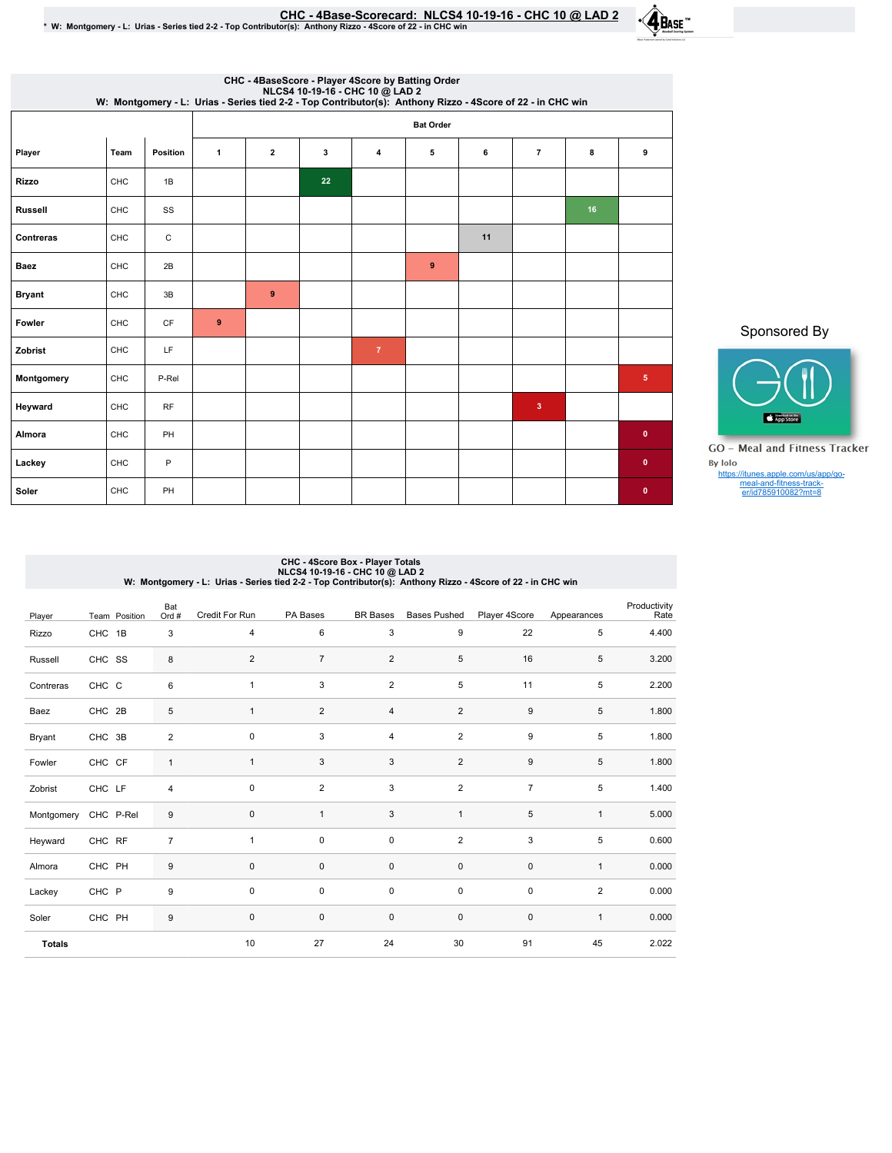| CHC - 4Base-Scorecard:  NLCS4 10-19-16 - CHC 10 @ LAD 2 |  |  |
|---------------------------------------------------------|--|--|
|---------------------------------------------------------|--|--|

EHC - 4Base-Scorecard: NLCS4 10-19-16 - CHC 10 @ LAD 2 ^ لالكان CHC - 4Base-Scorecard: NLCS4 10-19-16 - CHC 10 @ LAD 2<br>\* W: Montgomery - L: Urias - Series tied 2-2 - Top Contributor(s): Anthony Rizzo - 4Score of 22 - in CH



|                | CHC - 4BaseScore - Player 4Score by Batting Order<br>NLCS4 10-19-16 - CHC 10 @ LAD 2<br>W: Montgomery - L: Urias - Series tied 2-2 - Top Contributor(s): Anthony Rizzo - 4Score of 22 - in CHC win |           |              |                  |    |                |             |    |                |    |              |
|----------------|----------------------------------------------------------------------------------------------------------------------------------------------------------------------------------------------------|-----------|--------------|------------------|----|----------------|-------------|----|----------------|----|--------------|
|                |                                                                                                                                                                                                    |           |              | <b>Bat Order</b> |    |                |             |    |                |    |              |
| Player         | Team                                                                                                                                                                                               | Position  | $\mathbf{1}$ | $\overline{2}$   | 3  | $\overline{4}$ | 5           | 6  | $\overline{7}$ | 8  | 9            |
| Rizzo          | CHC                                                                                                                                                                                                | 1B        |              |                  | 22 |                |             |    |                |    |              |
| <b>Russell</b> | CHC                                                                                                                                                                                                | SS        |              |                  |    |                |             |    |                | 16 |              |
| Contreras      | CHC                                                                                                                                                                                                | C         |              |                  |    |                |             | 11 |                |    |              |
| <b>Baez</b>    | CHC                                                                                                                                                                                                | 2B        |              |                  |    |                | $\mathbf 9$ |    |                |    |              |
| <b>Bryant</b>  | CHC                                                                                                                                                                                                | 3B        |              | 9                |    |                |             |    |                |    |              |
| Fowler         | CHC                                                                                                                                                                                                | <b>CF</b> | 9            |                  |    |                |             |    |                |    |              |
| Zobrist        | CHC                                                                                                                                                                                                | LF        |              |                  |    | $\overline{7}$ |             |    |                |    |              |
| Montgomery     | CHC                                                                                                                                                                                                | P-Rel     |              |                  |    |                |             |    |                |    | 5            |
| Heyward        | CHC                                                                                                                                                                                                | <b>RF</b> |              |                  |    |                |             |    | 3              |    |              |
| Almora         | CHC                                                                                                                                                                                                | PH        |              |                  |    |                |             |    |                |    | $\mathbf{0}$ |
| Lackey         | CHC                                                                                                                                                                                                | P         |              |                  |    |                |             |    |                |    | $\mathbf 0$  |
| Soler          | CHC                                                                                                                                                                                                | PH        |              |                  |    |                |             |    |                |    | $\bullet$    |

Sponsored By



GO - Meal and Fitness Tracker By Iolo https://itunes.apple.com/us/app/go-meal-and-fitness-track-er/id785910082?mt=8

## CHC - 4Score Box - Player Totals<br>NLCS4 10.09 LAD2<br>W: Montgomery - L: Urias - Series tied 2-2 - Top Contributor(s): Anthony Rizzo - 4Score of 22 - in CHC win

| Player        | Team Position | Bat<br>Ord #     | Credit For Run | PA Bases       | <b>BR</b> Bases | <b>Bases Pushed</b> | Player 4Score    | Appearances    | Productivity<br>Rate |
|---------------|---------------|------------------|----------------|----------------|-----------------|---------------------|------------------|----------------|----------------------|
| Rizzo         | CHC 1B        | 3                | 4              | 6              | 3               | 9                   | 22               | 5              | 4.400                |
| Russell       | CHC SS        | 8                | $\overline{2}$ | $\overline{7}$ | $\overline{2}$  | 5                   | 16               | 5              | 3.200                |
| Contreras     | CHC C         | 6                | $\mathbf{1}$   | 3              | $\overline{2}$  | 5                   | 11               | 5              | 2.200                |
| Baez          | CHC 2B        | $\,$ 5 $\,$      | $\mathbf{1}$   | 2              | 4               | $\overline{2}$      | $\boldsymbol{9}$ | 5              | 1.800                |
| Bryant        | CHC 3B        | $\boldsymbol{2}$ | $\mathbf 0$    | 3              | $\overline{4}$  | 2                   | $\boldsymbol{9}$ | 5              | 1.800                |
| Fowler        | CHC CF        | $\mathbf{1}$     | $\mathbf{1}$   | 3              | 3               | 2                   | $\boldsymbol{9}$ | 5              | 1.800                |
| Zobrist       | CHC LF        | $\overline{4}$   | 0              | $\overline{2}$ | 3               | $\overline{2}$      | $\overline{7}$   | 5              | 1.400                |
| Montgomery    | CHC P-Rel     | $9\,$            | 0              | $\mathbf{1}$   | 3               | $\mathbf{1}$        | 5                | $\mathbf{1}$   | 5.000                |
| Heyward       | CHC RF        | $\overline{7}$   | $\mathbf{1}$   | $\mathbf 0$    | $\pmb{0}$       | $\overline{2}$      | 3                | 5              | 0.600                |
| Almora        | CHC PH        | $9\,$            | $\mathbf 0$    | $\mathbf 0$    | $\mathsf 0$     | $\pmb{0}$           | $\pmb{0}$        | $\mathbf{1}$   | 0.000                |
| Lackey        | CHC P         | $\boldsymbol{9}$ | 0              | $\pmb{0}$      | $\pmb{0}$       | $\pmb{0}$           | $\pmb{0}$        | $\overline{2}$ | 0.000                |
| Soler         | CHC PH        | $\boldsymbol{9}$ | 0              | $\pmb{0}$      | $\pmb{0}$       | $\pmb{0}$           | $\pmb{0}$        | $\mathbf{1}$   | 0.000                |
| <b>Totals</b> |               |                  | 10             | 27             | 24              | 30                  | 91               | 45             | 2.022                |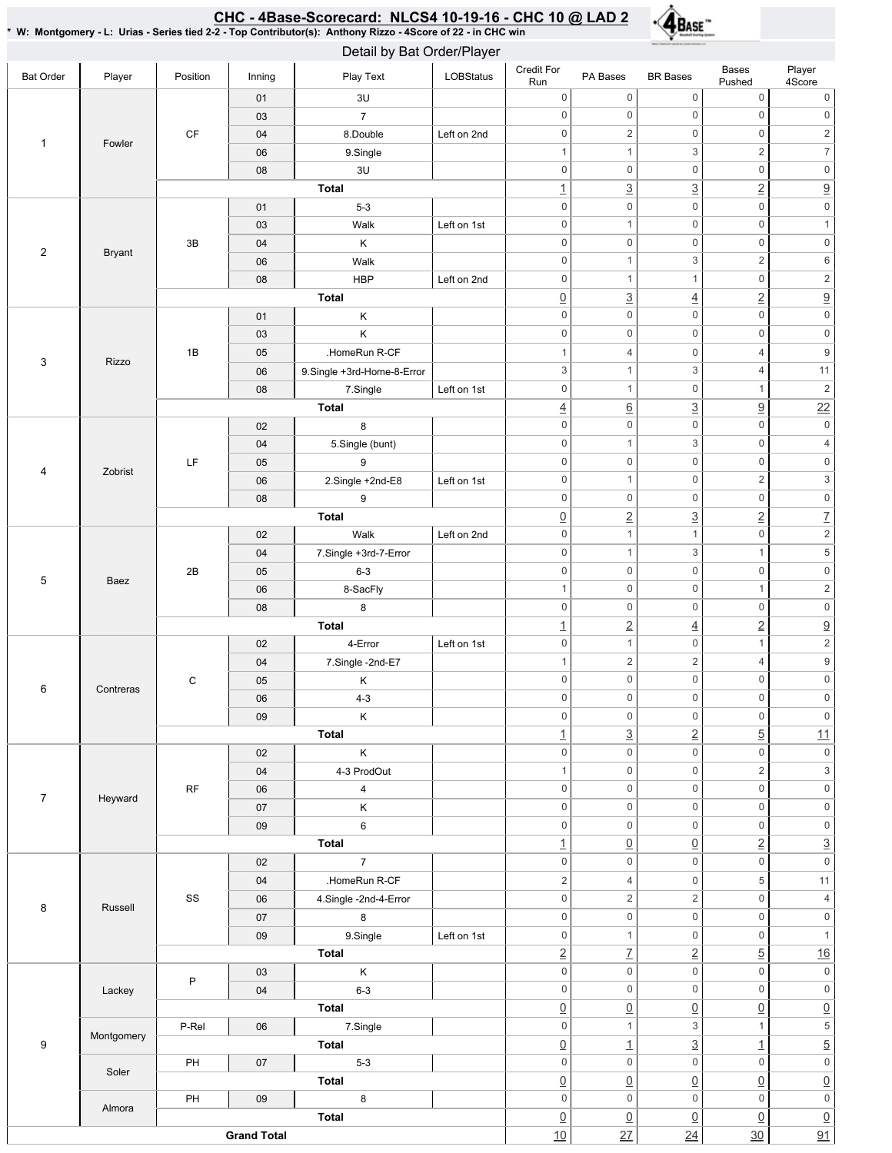## <u>CHC - 4Base-Scorecard: NLCS4 10-19-16 - CHC 10 @ LAD 2</u>

\*W:Montgomery-L:Urias-Seriestied2-2-TopContributor(s):AnthonyRizzo-4Scoreof22-inCHCwin



| Detail by Bat Order/Player |               |          |        |                            |             |                                |                           |                       |                         |                                    |
|----------------------------|---------------|----------|--------|----------------------------|-------------|--------------------------------|---------------------------|-----------------------|-------------------------|------------------------------------|
| <b>Bat Order</b>           | Player        | Position | Inning | Play Text                  | LOBStatus   | Credit For<br>Run              | PA Bases                  | <b>BR</b> Bases       | Bases<br>Pushed         | Player<br>4Score                   |
|                            |               |          | 01     | 3U                         |             | $\mathbf 0$                    | $\mathsf{O}\xspace$       | $\mathsf{O}\xspace$   | $\mathsf{O}\xspace$     | 0                                  |
|                            |               |          | 03     | $\overline{7}$             |             | $\mathbf 0$                    | $\mathsf{O}\xspace$       | $\mathbf 0$           | $\mathsf 0$             | $\mathsf 0$                        |
| $\mathbf{1}$               | Fowler        | CF       | 04     | 8.Double                   | Left on 2nd | $\mathbf 0$                    | $\sqrt{2}$                | $\mathbf 0$           | $\mathsf{O}\xspace$     | $\overline{2}$                     |
|                            |               |          | 06     | 9.Single                   |             | $\mathbf{1}$                   | $\mathbf{1}$              | 3                     | $\sqrt{2}$              | $\overline{\mathcal{I}}$           |
|                            |               |          | 08     | 3U                         |             | $\mathbf 0$                    | $\mathbb O$               | $\mathbf 0$           | $\mathsf 0$             | $\mathsf{O}\xspace$                |
|                            |               |          |        | <b>Total</b>               |             | $\overline{1}$                 | $\underline{3}$           | $\overline{3}$        | $\overline{2}$          | $\underline{9}$                    |
|                            |               |          | 01     | $5-3$                      |             | $\mathsf{O}\xspace$            | $\mathsf{O}\xspace$       | $\mathbf 0$           | $\mathsf 0$             | $\mathsf{O}\xspace$                |
|                            |               |          | 03     | Walk                       | Left on 1st | $\mathsf{0}$                   | $\mathbf{1}$              | $\mathbf 0$           | $\mathsf{O}\xspace$     | $\mathbf{1}$                       |
| $\overline{2}$             | <b>Bryant</b> | 3B       | 04     | Κ                          |             | $\mathsf{O}\xspace$            | $\mathbf 0$               | $\mathbf 0$           | $\mathsf{O}\xspace$     | $\mathsf{O}\xspace$                |
|                            |               |          | 06     | Walk                       |             | $\mathbf 0$                    | $\mathbf{1}$              | 3                     | $\overline{2}$          | $\,6\,$                            |
|                            |               |          | 08     | <b>HBP</b>                 | Left on 2nd | $\boldsymbol{0}$               | $\mathbf{1}$              | $\mathbf{1}$          | $\mathsf{O}\xspace$     | 2                                  |
|                            |               |          |        | <b>Total</b>               |             | $\underline{0}$                | $\underline{3}$           | $\overline{4}$        | $\underline{2}$         | $\underline{9}$                    |
|                            |               |          | 01     | Κ                          |             | $\mathbf 0$                    | $\boldsymbol{0}$          | $\mathbf 0$           | $\mathsf{O}\xspace$     | $\mathsf{O}\xspace$                |
|                            |               |          | 03     | Κ                          |             | $\mathbf 0$                    | $\boldsymbol{0}$          | $\mathbf 0$           | $\boldsymbol{0}$        | $\mathsf{0}$                       |
|                            |               | 1B       | 05     | .HomeRun R-CF              |             | $\mathbf{1}$                   | $\overline{4}$            | $\mathbf 0$           | 4                       | $\boldsymbol{9}$                   |
| 3                          | Rizzo         |          | 06     | 9.Single +3rd-Home-8-Error |             | $\ensuremath{\mathsf{3}}$      | $\mathbf{1}$              | 3                     | 4                       | 11                                 |
|                            |               |          | 08     | 7.Single                   | Left on 1st | $\mathsf{O}\xspace$            | $\mathbf{1}$              | $\mathbf 0$           | $\mathbf{1}$            | $\sqrt{2}$                         |
|                            |               |          |        | <b>Total</b>               |             | $\overline{4}$                 | $\underline{6}$           | $\overline{3}$        | 9                       | 22                                 |
|                            |               |          | 02     | 8                          |             | $\mathsf{0}$                   | $\mathsf{O}\xspace$       | $\mathbf 0$           | $\mathsf 0$             | $\mathbb O$                        |
|                            |               |          | 04     | 5.Single (bunt)            |             | $\mathsf{O}\xspace$            | $\mathbf{1}$              | 3                     | $\mathsf 0$             | $\overline{4}$                     |
|                            |               | LF       | 05     | 9                          |             | $\mathbf 0$                    | $\mathsf{O}\xspace$       | $\mathbf 0$           | $\mathsf 0$             | $\mathsf{O}\xspace$                |
| 4                          | Zobrist       |          | 06     | 2.Single +2nd-E8           | Left on 1st | $\mathsf{0}$                   | $\mathbf{1}$              | $\mathbf 0$           | $\overline{\mathbf{c}}$ | $\ensuremath{\mathsf{3}}$          |
|                            |               |          | 08     | 9                          |             | $\mathbf 0$                    | $\mathbb O$               | $\mathbf 0$           | $\mathbf 0$             | $\mathsf{0}$                       |
|                            |               |          |        | <b>Total</b>               |             | $\underline{0}$                | $\underline{2}$           | $\underline{3}$       | $\overline{2}$          | $\overline{L}$                     |
| 5<br>Baez                  |               |          | 02     | Walk                       | Left on 2nd | $\mathbf 0$                    | $\mathbf{1}$              | $\mathbf{1}$          | $\mathsf 0$             | $\overline{2}$                     |
|                            |               |          | 04     | 7.Single +3rd-7-Error      |             | $\mathsf{O}\xspace$            | $\mathbf{1}$              | 3                     | $\mathbf{1}$            | $\,$ 5 $\,$                        |
|                            |               | 2B       | 05     | $6 - 3$                    |             | $\mathbf 0$                    | $\mathbf 0$               | $\mathbf 0$           | $\mathsf{O}\xspace$     | $\mathsf{O}\xspace$                |
|                            |               |          | 06     | 8-SacFly                   |             | $\mathbf{1}$                   | $\mathsf 0$               | $\mathbf 0$           | $\mathbf{1}$            | $\overline{c}$                     |
|                            |               |          | 08     | 8                          |             | $\mathbf 0$                    | $\mathsf 0$               | $\mathbf 0$           | $\mathsf 0$             | $\mathsf{O}\xspace$                |
|                            |               |          |        | <b>Total</b>               |             | $\overline{1}$                 | $\underline{2}$           | $\overline{4}$        | $\overline{2}$          | $\overline{\partial}$              |
|                            |               |          | 02     | 4-Error                    | Left on 1st | $\mathbf 0$                    | $\mathbf{1}$              | $\mathbf 0$           | $\mathbf{1}$            | $\overline{c}$                     |
|                            |               |          | 04     | 7.Single -2nd-E7           |             | $\mathbf 1$                    | $\sqrt{2}$                | $\sqrt{2}$            | 4                       | $\boldsymbol{9}$                   |
|                            |               | С        | 05     | Κ                          |             | $\mathbf 0$                    | $\mathsf{O}\xspace$       | $\mathbf 0$           | $\mathsf 0$             | $\mathsf{O}\xspace$                |
| 6                          | Contreras     |          | 06     | $4 - 3$                    |             | U                              | $\cup$                    | 0                     | 0                       | 0                                  |
|                            |               |          | 09     | $\sf K$                    |             | $\mathbf 0$                    | $\mathsf 0$               | $\mathbf 0$           | $\mathsf 0$             | $\mathsf{0}$                       |
|                            |               |          |        | Total                      |             | $\overline{1}$                 | $\underline{3}$           | $\underline{2}$       | $\overline{5}$          | 11                                 |
|                            |               |          | 02     | $\sf K$                    |             | $\mathbf 0$                    | $\mathbf 0$               | $\mathbf 0$           | $\mathsf 0$             | $\mathsf{O}\xspace$                |
|                            |               |          | 04     | 4-3 ProdOut                |             | $\mathbf 1$                    | $\mathbf 0$               | $\mathbf 0$           | $\overline{c}$          | $\ensuremath{\mathsf{3}}$          |
|                            |               | RF       | 06     | $\overline{4}$             |             | $\mathbf 0$                    | $\mathsf 0$               | $\mathbf 0$           | $\mathsf 0$             | $\mathsf{0}$                       |
| $\overline{7}$             | Heyward       |          | 07     | Κ                          |             | $\mathbf 0$                    | $\mathbf 0$               | $\mathbf 0$           | $\mathbf 0$             | $\mathsf{0}$                       |
|                            |               |          | 09     | $\,6\,$                    |             | $\mathbf 0$                    | $\mathsf 0$               | $\mathbf 0$           | $\mathsf 0$             | $\mathsf{O}\xspace$                |
|                            |               |          |        | Total                      |             | $\overline{1}$                 | $\underline{0}$           | $\underline{0}$       | $\underline{2}$         | $\underline{3}$                    |
|                            |               |          | 02     | $\overline{7}$             |             | $\mathsf{O}\xspace$            | $\mathsf{O}\xspace$       | $\mathbf 0$           | $\mathsf 0$             | $\boldsymbol{0}$                   |
|                            |               |          | 04     | .HomeRun R-CF              |             | $\overline{2}$                 | $\overline{4}$            | $\mathbf 0$           | 5                       | $11$                               |
|                            |               | SS       | 06     | 4.Single -2nd-4-Error      |             | $\mathsf{O}\xspace$            | 2                         | $\sqrt{2}$            | $\mathsf 0$             | $\overline{4}$                     |
| 8                          | Russell       |          | 07     | 8                          |             | $\mathsf 0$                    | $\mathsf{O}\xspace$       | $\mathsf{O}\xspace$   | $\mathsf 0$             | $\mathsf{O}\xspace$                |
|                            |               |          | 09     | 9.Single                   | Left on 1st | $\mathbb O$                    | $\mathbf{1}$              | $\mathbf 0$           | $\mathsf{O}\xspace$     | $\mathbf{1}$                       |
|                            |               |          |        | Total                      |             | $\underline{2}$                | $\underline{\mathcal{T}}$ | $\underline{2}$       | $\overline{5}$          | 16                                 |
|                            |               |          | 03     | $\sf K$                    |             | $\mathbf 0$                    | $\mathbf 0$               | $\mathbf 0$           | $\mathsf 0$             | $\mathsf{0}$                       |
|                            | Lackey        | $\sf P$  | 04     | $6 - 3$                    |             | $\mathsf 0$                    | $\mathsf{O}\xspace$       | $\mathbf 0$           | $\mathsf 0$             | $\mathsf{0}$                       |
|                            |               |          |        | Total                      |             | $\underline{0}$                | $\underline{0}$           | $\underline{0}$       | $\underline{0}$         | $\underline{0}$                    |
|                            |               | P-Rel    | 06     | 7.Single                   |             | $\mathsf 0$                    | $\mathbf{1}$              | 3                     | $\mathbf{1}$            | $\overline{\mathbf{5}}$            |
| 9                          | Montgomery    |          |        | Total                      |             | $\underline{0}$                | $\overline{1}$            | $\underline{3}$       | $\overline{1}$          | $\overline{5}$                     |
|                            |               | PH       | 07     | $5-3$                      |             | $\mathsf 0$                    | $\mathsf{O}\xspace$       | $\mathbf 0$           | $\mathsf 0$             | $\mathsf{O}\xspace$                |
|                            | Soler         |          |        | <b>Total</b>               |             |                                | $\underline{0}$           | $\underline{0}$       | $\underline{0}$         | $\underline{0}$                    |
|                            |               | PH       | 09     | $\bf 8$                    |             | $\underline{0}$<br>$\mathsf 0$ | $\mathsf{O}\xspace$       | $\mathbf 0$           | $\mathsf 0$             | $\mathsf{O}\xspace$                |
|                            | Almora        |          |        | Total                      |             |                                |                           |                       |                         |                                    |
|                            |               |          |        |                            |             | $\underline{0}$<br>10          | $\underline{0}$<br>27     | $\underline{0}$<br>24 | $\underline{0}$<br>30   | $\underline{0}$<br>$\overline{91}$ |
| <b>Grand Total</b>         |               |          |        |                            |             |                                |                           |                       |                         |                                    |